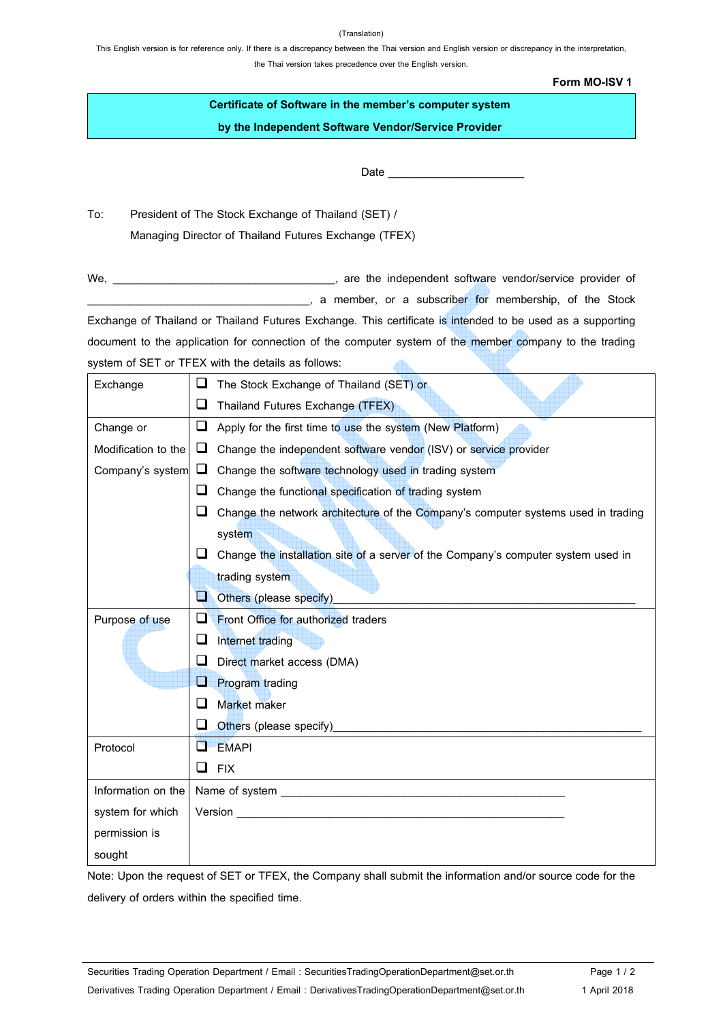## (Translation)

This English version is for reference only. If there is a discrepancy between the Thai version and English version or discrepancy in the interpretation, the Thai version takes precedence over the English version.

**Form MO-ISV 1**

| Certificate of Software in the member's computer system |
|---------------------------------------------------------|
| by the Independent Software Vendor/Service Provider     |

Date \_\_\_\_\_\_\_\_\_\_\_\_\_\_\_\_\_\_\_\_\_\_

To: President of The Stock Exchange of Thailand (SET) / Managing Director of Thailand Futures Exchange (TFEX)

We, \_\_\_\_\_\_\_\_\_\_\_\_\_\_\_\_\_\_\_\_\_\_\_\_\_\_\_\_\_\_\_\_\_\_\_\_, are the independent software vendor/service provider of end a member, or a subscriber for membership, of the Stock Exchange of Thailand or Thailand Futures Exchange. This certificate is intended to be used as a supporting document to the application for connection of the computer system of the member company to the trading system of SET or TFEX with the details as follows: 4h.

| Exchange            | The Stock Exchange of Thailand (SET) or                                                                                                                                                  |
|---------------------|------------------------------------------------------------------------------------------------------------------------------------------------------------------------------------------|
|                     | ⊔<br>Thailand Futures Exchange (TFEX)                                                                                                                                                    |
| Change or           | Apply for the first time to use the system (New Platform)<br>⊔                                                                                                                           |
| Modification to the | Change the independent software vendor (ISV) or service provider<br>⊔                                                                                                                    |
| Company's system    | Change the software technology used in trading system<br>┕                                                                                                                               |
|                     | Change the functional specification of trading system<br>ப                                                                                                                               |
|                     | Change the network architecture of the Company's computer systems used in trading<br>ப                                                                                                   |
|                     | system                                                                                                                                                                                   |
|                     | Change the installation site of a server of the Company's computer system used in                                                                                                        |
|                     | trading system                                                                                                                                                                           |
|                     | Others (please specify)<br>$\frac{1}{2}$                                                                                                                                                 |
| Purpose of use      | Front Office for authorized traders<br>ப                                                                                                                                                 |
|                     | ப<br>Internet trading                                                                                                                                                                    |
|                     | Direct market access (DMA)                                                                                                                                                               |
|                     | H<br><b>Program trading</b>                                                                                                                                                              |
|                     | Market maker<br>$\Box$                                                                                                                                                                   |
|                     | Others (please specify)<br>ப                                                                                                                                                             |
| Protocol            | <b>EMAPI</b><br>D.                                                                                                                                                                       |
|                     | ❏<br><b>FIX</b><br><u> 1980 - Johann Barbara, martin amerikan basal dan berasal dalam basal dalam basal dalam basal dalam basal dala</u>                                                 |
| Information on the  |                                                                                                                                                                                          |
| system for which    | <b>Version Section Section Section Section Section Section Section Section Section Section Section Section Section Section Section Section Section Section Section Section Section S</b> |
| permission is       |                                                                                                                                                                                          |
| sought              |                                                                                                                                                                                          |

Note: Upon the request of SET or TFEX, the Company shall submit the information and/or source code for the delivery of orders within the specified time.